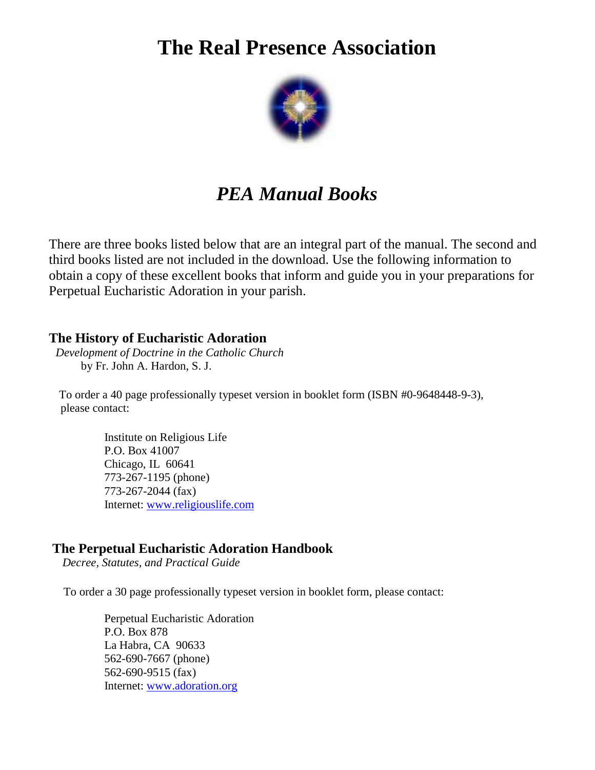# **The Real Presence Association**



## *PEA Manual Books*

There are three books listed below that are an integral part of the manual. The second and third books listed are not included in the download. Use the following information to obtain a copy of these excellent books that inform and guide you in your preparations for Perpetual Eucharistic Adoration in your parish.

#### **The History of Eucharistic Adoration**

 *Development of Doctrine in the Catholic Church*  by Fr. John A. Hardon, S. J.

 To order a 40 page professionally typeset version in booklet form (ISBN #0-9648448-9-3), please contact:

> Institute on Religious Life P.O. Box 41007 Chicago, IL 60641 773-267-1195 (phone) 773-267-2044 (fax) Internet: www.religiouslife.com

#### **The Perpetual Eucharistic Adoration Handbook**

*Decree, Statutes, and Practical Guide* 

To order a 30 page professionally typeset version in booklet form, please contact:

 Perpetual Eucharistic Adoration P.O. Box 878 La Habra, CA 90633 562-690-7667 (phone) 562-690-9515 (fax) Internet: www.adoration.org